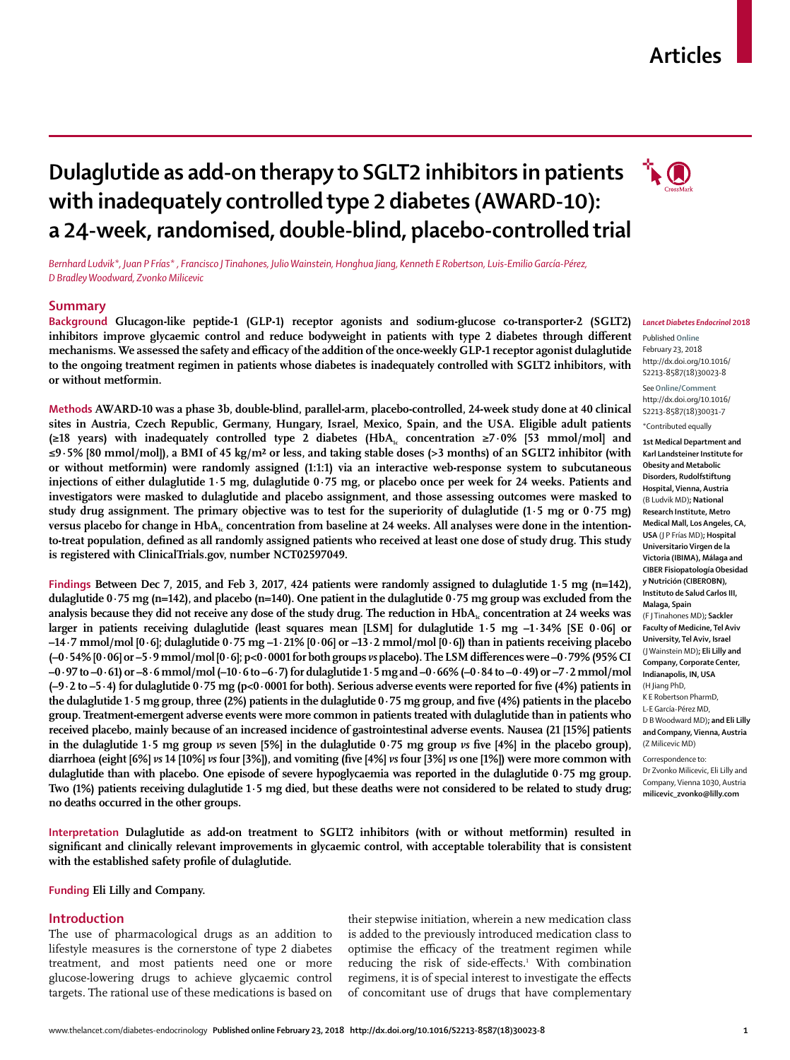#### www.thelancet.com/diabetes-endocrinology **Published online February 23, 2018 http://dx.doi.org/10.1016/S2213-8587(18)30023-8 1**

# **Articles**

## **TO Dulaglutide as add-on therapy to SGLT2 inhibitors in patients with inadequately controlled type 2 diabetes (AWARD-10): a 24-week, randomised, double-blind, placebo-controlled trial**

*Bernhard Ludvik\*, Juan P FrÍas\* , Francisco J Tinahones, Julio Wainstein, Honghua Jiang, Kenneth E Robertson, Luis-Emilio García-Pérez, D Bradley Woodward, Zvonko Milicevic*

## **Summary**

**Background Glucagon-like peptide-1 (GLP-1) receptor agonists and sodium-glucose co-transporter-2 (SGLT2) inhibitors improve glycaemic control and reduce bodyweight in patients with type 2 diabetes through different mechanisms. We assessed the safety and efficacy of the addition of the once-weekly GLP-1 receptor agonist dulaglutide to the ongoing treatment regimen in patients whose diabetes is inadequately controlled with SGLT2 inhibitors, with or without metformin.**

**Methods AWARD-10 was a phase 3b, double-blind, parallel-arm, placebo-controlled, 24-week study done at 40 clinical sites in Austria, Czech Republic, Germany, Hungary, Israel, Mexico, Spain, and the USA. Eligible adult patients (≥18 years) with inadequately controlled type 2 diabetes (HbA1c concentration ≥7∙0% [53 mmol/mol] and ≤9∙5% [80 mmol/mol]), a BMI of 45 kg/m² or less, and taking stable doses (>3 months) of an SGLT2 inhibitor (with or without metformin) were randomly assigned (1:1:1) via an interactive web-response system to subcutaneous injections of either dulaglutide 1∙5 mg, dulaglutide 0∙75 mg, or placebo once per week for 24 weeks. Patients and investigators were masked to dulaglutide and placebo assignment, and those assessing outcomes were masked to study drug assignment. The primary objective was to test for the superiority of dulaglutide (1∙5 mg or 0∙75 mg)**  versus placebo for change in HbA<sub>1c</sub> concentration from baseline at 24 weeks. All analyses were done in the intention**to-treat population, defined as all randomly assigned patients who received at least one dose of study drug. This study is registered with ClinicalTrials.gov, number NCT02597049.**

**Findings Between Dec 7, 2015, and Feb 3, 2017, 424 patients were randomly assigned to dulaglutide 1∙5 mg (n=142), dulaglutide 0∙75 mg (n=142), and placebo (n=140). One patient in the dulaglutide 0∙75 mg group was excluded from the**  analysis because they did not receive any dose of the study drug. The reduction in HbA<sub>1c</sub> concentration at 24 weeks was **larger in patients receiving dulaglutide (least squares mean [LSM] for dulaglutide 1∙5 mg –1∙34% [SE 0∙06] or –14∙7 mmol/mol [0∙6]; dulaglutide 0∙75 mg –1∙21% [0∙06] or –13∙2 mmol/mol [0∙6]) than in patients receiving placebo (–0∙54% [0∙06] or –5∙9 mmol/mol [0∙6]; p<0∙0001 for both groups** *vs* **placebo). The LSM differences were –0∙79% (95% CI –0∙97 to –0∙61) or –8∙6 mmol/mol (–10∙6 to –6∙7) for dulaglutide 1∙5 mg and –0∙66% (–0∙84 to –0∙49) or –7∙2 mmol/mol (–9∙2 to –5∙4) for dulaglutide 0∙75 mg (p<0∙0001 for both). Serious adverse events were reported for five (4%) patients in the dulaglutide 1∙5 mg group, three (2%) patients in the dulaglutide 0∙75 mg group, and five (4%) patients in the placebo group. Treatment-emergent adverse events were more common in patients treated with dulaglutide than in patients who received placebo, mainly because of an increased incidence of gastrointestinal adverse events. Nausea (21 [15%] patients in the dulaglutide 1∙5 mg group** *vs* **seven [5%] in the dulaglutide 0∙75 mg group** *vs* **five [4%] in the placebo group), diarrhoea (eight [6%]** *vs* **14 [10%]** *vs* **four [3%]), and vomiting (five [4%]** *vs* **four [3%]** *vs* **one [1%]) were more common with dulaglutide than with placebo. One episode of severe hypoglycaemia was reported in the dulaglutide 0∙75 mg group. Two (1%) patients receiving dulaglutide 1∙5 mg died, but these deaths were not considered to be related to study drug; no deaths occurred in the other groups.**

**Interpretation Dulaglutide as add-on treatment to SGLT2 inhibitors (with or without metformin) resulted in significant and clinically relevant improvements in glycaemic control, with acceptable tolerability that is consistent with the established safety profile of dulaglutide.**

**Funding Eli Lilly and Company.**

## **Introduction**

The use of pharmacological drugs as an addition to lifestyle measures is the cornerstone of type 2 diabetes treatment, and most patients need one or more glucose-lowering drugs to achieve glycaemic control targets. The rational use of these medications is based on

their stepwise initiation, wherein a new medication class is added to the previously introduced medication class to optimise the efficacy of the treatment regimen while reducing the risk of side-effects.<sup>1</sup> With combination regimens, it is of special interest to investigate the effects of concomitant use of drugs that have complementary

#### *Lancet Diabetes Endocrinol* **2018**

Published **Online** February 23, 2018 http://dx.doi.org/10.1016/ S2213-8587(18)30023-8

See**Online/Comment** http://dx.doi.org/10.1016/ S2213-8587(18)30031-7

\*Contributed equally

**1st Medical Department and Karl Landsteiner Institute for Obesity and Metabolic Disorders, Rudolfstiftung Hospital, Vienna, Austria** (B Ludvik MD)**; National Research Institute, Metro Medical Mall, Los Angeles, CA, USA** (J P Frías MD)**; Hospital Universitario Virgen de la Victoria (IBIMA), Málaga and CIBER Fisiopatología Obesidad y Nutrición (CIBEROBN), Instituto de Salud Carlos III, Malaga, Spain** (F J Tinahones MD)**; Sackler Faculty of Medicine, Tel Aviv University, Tel Aviv, Israel**  (J Wainstein MD)**; Eli Lilly and Company, Corporate Center, Indianapolis, IN, USA** (H Jiang PhD, K E Robertson PharmD, L-E García-Pérez MD, D B Woodward MD)**; and Eli Lilly and Company, Vienna, Austria**  (Z Milicevic MD) Correspondence to: Dr Zvonko Milicevic, Eli Lilly and Company, Vienna 1030, Austria **milicevic\_zvonko@lilly.com**

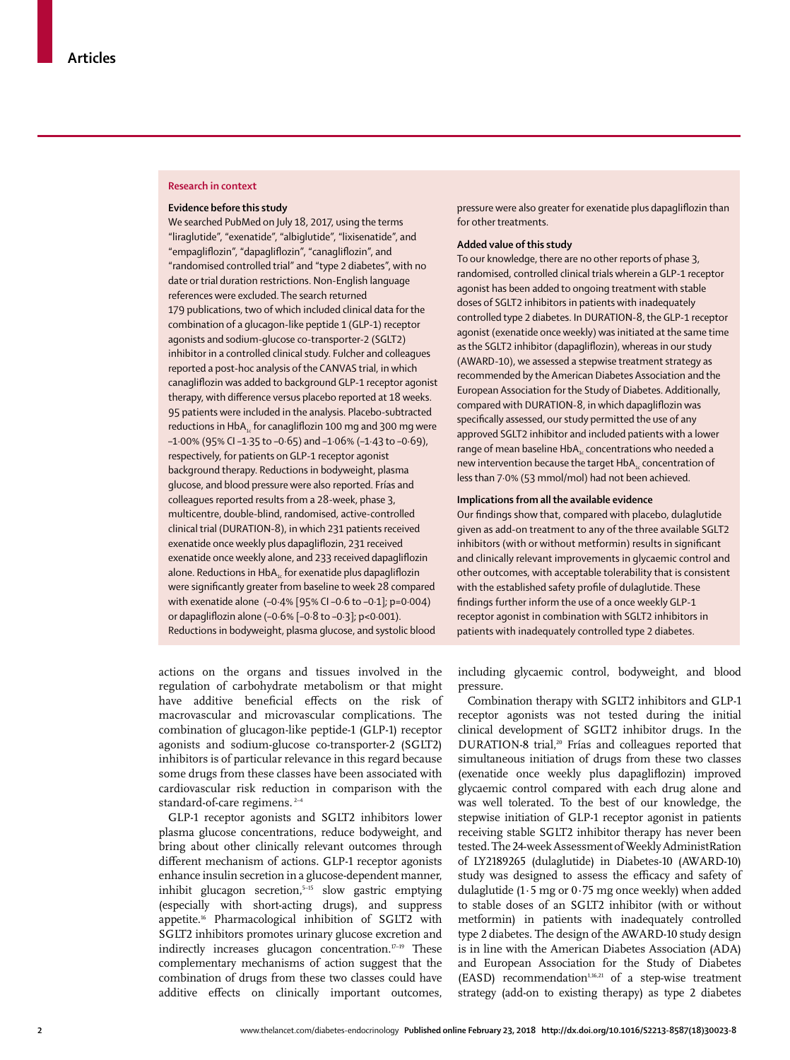## **Research in context**

## **Evidence before this study**

We searched PubMed on July 18, 2017, using the terms "liraglutide", "exenatide", "albiglutide", "lixisenatide", and "empagliflozin", "dapagliflozin", "canagliflozin", and "randomised controlled trial" and "type 2 diabetes", with no date or trial duration restrictions. Non-English language references were excluded. The search returned 179 publications, two of which included clinical data for the combination of a glucagon-like peptide 1 (GLP-1) receptor agonists and sodium-glucose co-transporter-2 (SGLT2) inhibitor in a controlled clinical study. Fulcher and colleagues reported a post-hoc analysis of the CANVAS trial, in which canagliflozin was added to background GLP-1 receptor agonist therapy, with difference versus placebo reported at 18 weeks. 95 patients were included in the analysis. Placebo-subtracted reductions in  $HbA_{1c}$  for canagliflozin 100 mg and 300 mg were –1·00% (95% CI –1·35 to –0·65) and –1·06% (–1·43 to –0·69), respectively, for patients on GLP-1 receptor agonist background therapy. Reductions in bodyweight, plasma glucose, and blood pressure were also reported. Frías and colleagues reported results from a 28-week, phase 3, multicentre, double-blind, randomised, active-controlled clinical trial (DURATION-8), in which 231 patients received exenatide once weekly plus dapagliflozin, 231 received exenatide once weekly alone, and 233 received dapagliflozin alone. Reductions in HbA<sub>1c</sub> for exenatide plus dapagliflozin were significantly greater from baseline to week 28 compared with exenatide alone (–0·4% [95% CI –0·6 to –0·1]; p=0·004) or dapagliflozin alone (–0·6% [–0·8 to –0·3]; p<0·001). Reductions in bodyweight, plasma glucose, and systolic blood

actions on the organs and tissues involved in the regulation of carbohydrate metabolism or that might have additive beneficial effects on the risk of macrovascular and microvascular complications. The combination of glucagon-like peptide-1 (GLP-1) receptor agonists and sodium-glucose co-transporter-2 (SGLT2) inhibitors is of particular relevance in this regard because some drugs from these classes have been associated with cardiovascular risk reduction in comparison with the standard-of-care regimens.<sup>2-4</sup>

GLP-1 receptor agonists and SGLT2 inhibitors lower plasma glucose concentrations, reduce bodyweight, and bring about other clinically relevant outcomes through different mechanism of actions. GLP-1 receptor agonists enhance insulin secretion in a glucose-dependent manner, inhibit glucagon secretion,<sup>5-15</sup> slow gastric emptying (especially with short-acting drugs), and suppress appetite.16 Pharmacological inhibition of SGLT2 with SGLT2 inhibitors promotes urinary glucose excretion and indirectly increases glucagon concentration.<sup>17-19</sup> These complementary mechanisms of action suggest that the combination of drugs from these two classes could have additive effects on clinically important outcomes,

pressure were also greater for exenatide plus dapagliflozin than for other treatments.

## **Added value of this study**

To our knowledge, there are no other reports of phase 3, randomised, controlled clinical trials wherein a GLP-1 receptor agonist has been added to ongoing treatment with stable doses of SGLT2 inhibitors in patients with inadequately controlled type 2 diabetes. In DURATION-8, the GLP-1 receptor agonist (exenatide once weekly) was initiated at the same time as the SGLT2 inhibitor (dapagliflozin), whereas in our study (AWARD-10), we assessed a stepwise treatment strategy as recommended by the American Diabetes Association and the European Association for the Study of Diabetes. Additionally, compared with DURATION-8, in which dapagliflozin was specifically assessed, our study permitted the use of any approved SGLT2 inhibitor and included patients with a lower range of mean baseline HbA<sub>1c</sub> concentrations who needed a new intervention because the target  $HbA<sub>i</sub>$  concentration of less than 7·0% (53 mmol/mol) had not been achieved.

#### **Implications from all the available evidence**

Our findings show that, compared with placebo, dulaglutide given as add-on treatment to any of the three available SGLT2 inhibitors (with or without metformin) results in significant and clinically relevant improvements in glycaemic control and other outcomes, with acceptable tolerability that is consistent with the established safety profile of dulaglutide. These findings further inform the use of a once weekly GLP-1 receptor agonist in combination with SGLT2 inhibitors in patients with inadequately controlled type 2 diabetes.

including glycaemic control, bodyweight, and blood pressure.

Combination therapy with SGLT2 inhibitors and GLP-1 receptor agonists was not tested during the initial clinical development of SGLT2 inhibitor drugs. In the DURATION-8 trial,<sup>20</sup> Frías and colleagues reported that simultaneous initiation of drugs from these two classes (exenatide once weekly plus dapagliflozin) improved glycaemic control compared with each drug alone and was well tolerated. To the best of our knowledge, the stepwise initiation of GLP-1 receptor agonist in patients receiving stable SGLT2 inhibitor therapy has never been tested. The 24-week Assessment of Weekly AdministRation of LY2189265 (dulaglutide) in Diabetes-10 (AWARD-10) study was designed to assess the efficacy and safety of dulaglutide (1∙5 mg or 0∙75 mg once weekly) when added to stable doses of an SGLT2 inhibitor (with or without metformin) in patients with inadequately controlled type 2 diabetes. The design of the AWARD-10 study design is in line with the American Diabetes Association (ADA) and European Association for the Study of Diabetes (EASD) recommendation<sup>1,16,21</sup> of a step-wise treatment strategy (add-on to existing therapy) as type 2 diabetes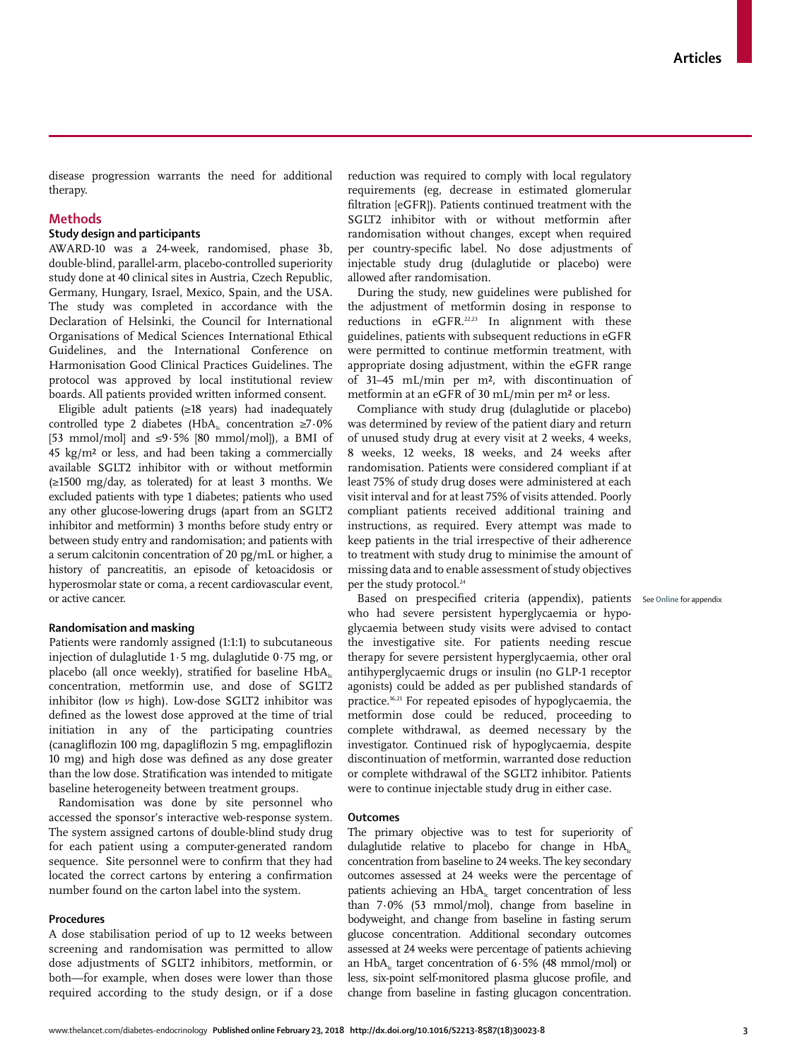disease progression warrants the need for additional therapy.

## **Methods**

## **Study design and participants**

AWARD-10 was a 24-week, randomised, phase 3b, double-blind, parallel-arm, placebo-controlled superiority study done at 40 clinical sites in Austria, Czech Republic, Germany, Hungary, Israel, Mexico, Spain, and the USA. The study was completed in accordance with the Declaration of Helsinki, the Council for International Organisations of Medical Sciences International Ethical Guidelines, and the International Conference on Harmonisation Good Clinical Practices Guidelines. The protocol was approved by local institutional review boards. All patients provided written informed consent.

Eligible adult patients (≥18 years) had inadequately controlled type 2 diabetes (HbA<sub>1c</sub> concentration ≥7⋅0% [53 mmol/mol] and ≤9∙5% [80 mmol/mol]), a BMI of 45 kg/m² or less, and had been taking a commercially available SGLT2 inhibitor with or without metformin (≥1500 mg/day, as tolerated) for at least 3 months. We excluded patients with type 1 diabetes; patients who used any other glucose-lowering drugs (apart from an SGLT2 inhibitor and metformin) 3 months before study entry or between study entry and randomisation; and patients with a serum calcitonin concentration of 20 pg/mL or higher, a history of pancreatitis, an episode of ketoacidosis or hyperosmolar state or coma, a recent cardiovascular event, or active cancer.

#### **Randomisation and masking**

Patients were randomly assigned (1:1:1) to subcutaneous injection of dulaglutide 1∙5 mg, dulaglutide 0∙75 mg, or placebo (all once weekly), stratified for baseline  $HbA<sub>1c</sub>$ concentration, metformin use, and dose of SGLT2 inhibitor (low *vs* high). Low-dose SGLT2 inhibitor was defined as the lowest dose approved at the time of trial initiation in any of the participating countries (canagliflozin 100 mg, dapagliflozin 5 mg, empagliflozin 10 mg) and high dose was defined as any dose greater than the low dose. Stratification was intended to mitigate baseline heterogeneity between treatment groups.

Randomisation was done by site personnel who accessed the sponsor's interactive web-response system. The system assigned cartons of double-blind study drug for each patient using a computer-generated random sequence. Site personnel were to confirm that they had located the correct cartons by entering a confirmation number found on the carton label into the system.

## **Procedures**

A dose stabilisation period of up to 12 weeks between screening and randomisation was permitted to allow dose adjustments of SGLT2 inhibitors, metformin, or both—for example, when doses were lower than those required according to the study design, or if a dose reduction was required to comply with local regulatory requirements (eg, decrease in estimated glomerular filtration [eGFR]). Patients continued treatment with the SGLT2 inhibitor with or without metformin after randomisation without changes, except when required per country-specific label. No dose adjustments of injectable study drug (dulaglutide or placebo) were allowed after randomisation.

During the study, new guidelines were published for the adjustment of metformin dosing in response to reductions in eGFR.<sup>22,23</sup> In alignment with these guidelines, patients with subsequent reductions in eGFR were permitted to continue metformin treatment, with appropriate dosing adjustment, within the eGFR range of 31–45 mL/min per m², with discontinuation of metformin at an eGFR of 30 mL/min per m² or less.

Compliance with study drug (dulaglutide or placebo) was determined by review of the patient diary and return of unused study drug at every visit at 2 weeks, 4 weeks, 8 weeks, 12 weeks, 18 weeks, and 24 weeks after randomisation. Patients were considered compliant if at least 75% of study drug doses were administered at each visit interval and for at least 75% of visits attended. Poorly compliant patients received additional training and instructions, as required. Every attempt was made to keep patients in the trial irrespective of their adherence to treatment with study drug to minimise the amount of missing data and to enable assessment of study objectives per the study protocol.<sup>24</sup>

Based on prespecified criteria (appendix), patients See **Online** for appendixwho had severe persistent hyperglycaemia or hypoglycaemia between study visits were advised to contact the investigative site. For patients needing rescue therapy for severe persistent hyperglycaemia, other oral antihyperglycaemic drugs or insulin (no GLP-1 receptor agonists) could be added as per published standards of practice.16,21 For repeated episodes of hypoglycaemia, the metformin dose could be reduced, proceeding to complete withdrawal, as deemed necessary by the investigator. Continued risk of hypoglycaemia, despite discontinuation of metformin, warranted dose reduction or complete withdrawal of the SGLT2 inhibitor. Patients were to continue injectable study drug in either case.

#### **Outcomes**

The primary objective was to test for superiority of dulaglutide relative to placebo for change in  $HbA<sub>c</sub>$ concentration from baseline to 24 weeks. The key secondary outcomes assessed at 24 weeks were the percentage of patients achieving an HbA<sub>1c</sub> target concentration of less than 7∙0% (53 mmol/mol), change from baseline in bodyweight, and change from baseline in fasting serum glucose concentration. Additional secondary outcomes assessed at 24 weeks were percentage of patients achieving an HbA<sub>1c</sub> target concentration of 6⋅5% (48 mmol/mol) or less, six-point self-monitored plasma glucose profile, and change from baseline in fasting glucagon concentration.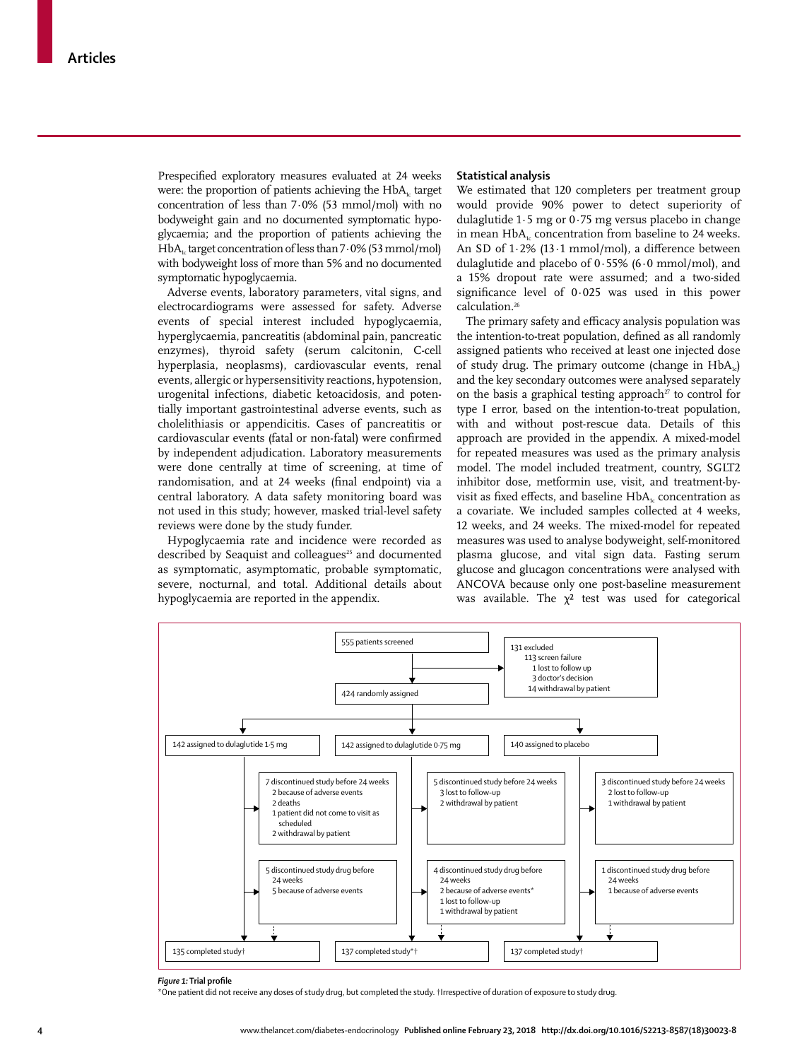Prespecified exploratory measures evaluated at 24 weeks were: the proportion of patients achieving the  $HbA<sub>1c</sub>$  target concentration of less than 7∙0% (53 mmol/mol) with no bodyweight gain and no documented symptomatic hypoglycaemia; and the proportion of patients achieving the HbA<sub>1c</sub> target concentration of less than 7⋅0% (53 mmol/mol) with bodyweight loss of more than 5% and no documented symptomatic hypoglycaemia.

Adverse events, laboratory parameters, vital signs, and electrocardiograms were assessed for safety. Adverse events of special interest included hypoglycaemia, hyperglycaemia, pancreatitis (abdominal pain, pancreatic enzymes), thyroid safety (serum calcitonin, C-cell hyperplasia, neoplasms), cardiovascular events, renal events, allergic or hypersensitivity reactions, hypotension, urogenital infections, diabetic ketoacidosis, and potentially important gastrointestinal adverse events, such as cholelithiasis or appendicitis. Cases of pancreatitis or cardiovascular events (fatal or non-fatal) were confirmed by independent adjudication. Laboratory measurements were done centrally at time of screening, at time of randomisation, and at 24 weeks (final endpoint) via a central laboratory. A data safety monitoring board was not used in this study; however, masked trial-level safety reviews were done by the study funder.

Hypoglycaemia rate and incidence were recorded as described by Seaquist and colleagues<sup>25</sup> and documented as symptomatic, asymptomatic, probable symptomatic, severe, nocturnal, and total. Additional details about hypoglycaemia are reported in the appendix.

### **Statistical analysis**

We estimated that 120 completers per treatment group would provide 90% power to detect superiority of dulaglutide 1∙5 mg or 0∙75 mg versus placebo in change in mean  $HbA<sub>k</sub>$  concentration from baseline to 24 weeks. An SD of 1∙2% (13∙1 mmol/mol), a difference between dulaglutide and placebo of 0∙55% (6∙0 mmol/mol), and a 15% dropout rate were assumed; and a two-sided significance level of 0∙025 was used in this power calculation.26

The primary safety and efficacy analysis population was the intention-to-treat population, defined as all randomly assigned patients who received at least one injected dose of study drug. The primary outcome (change in  $HbA_{1c}$ ) and the key secondary outcomes were analysed separately on the basis a graphical testing approach<sup> $x$ </sup> to control for type I error, based on the intention-to-treat population, with and without post-rescue data. Details of this approach are provided in the appendix. A mixed-model for repeated measures was used as the primary analysis model. The model included treatment, country, SGLT2 inhibitor dose, metformin use, visit, and treatment-byvisit as fixed effects, and baseline  $HbA<sub>i</sub>$  concentration as a covariate. We included samples collected at 4 weeks, 12 weeks, and 24 weeks. The mixed-model for repeated measures was used to analyse bodyweight, self-monitored plasma glucose, and vital sign data. Fasting serum glucose and glucagon concentrations were analysed with ANCOVA because only one post-baseline measurement was available. The  $\chi^2$  test was used for categorical



## *Figure 1:* **Trial profile**

\*One patient did not receive any doses of study drug, but completed the study. †Irrespective of duration of exposure to study drug.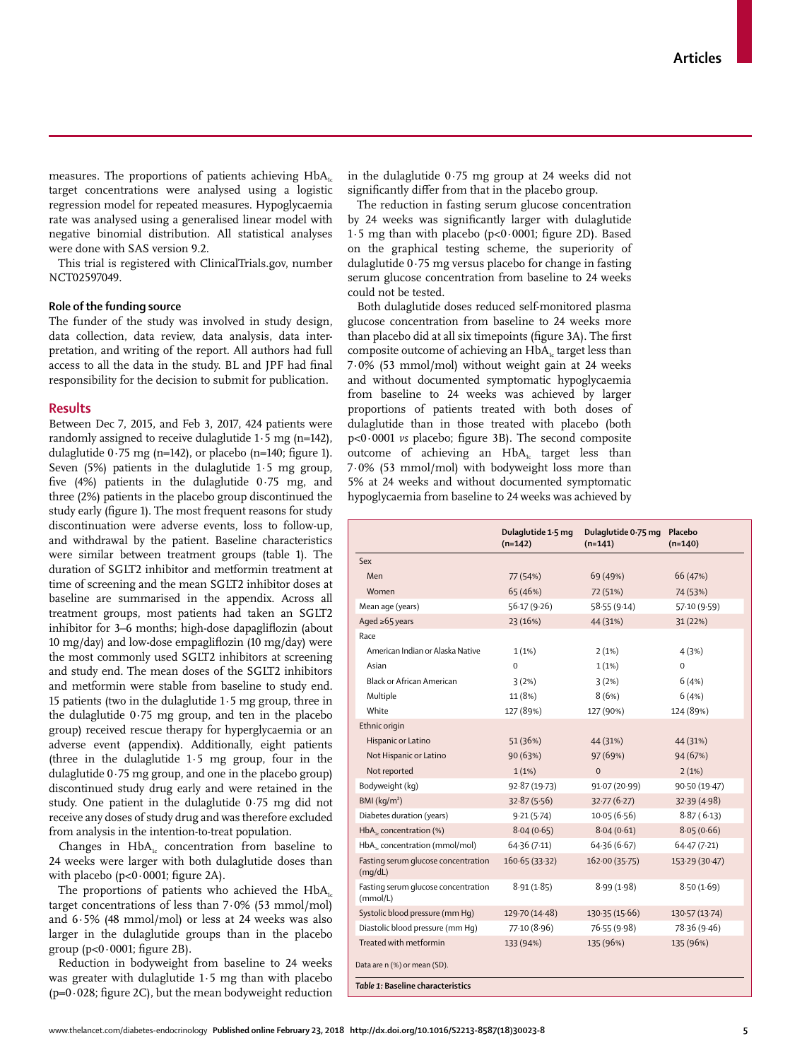measures. The proportions of patients achieving  $HbA<sub>i</sub>$ target concentrations were analysed using a logistic regression model for repeated measures. Hypoglycaemia rate was analysed using a generalised linear model with negative binomial distribution. All statistical analyses were done with SAS version 9.2.

This trial is registered with ClinicalTrials.gov, number NCT02597049.

## **Role of the funding source**

The funder of the study was involved in study design, data collection, data review, data analysis, data interpretation, and writing of the report. All authors had full access to all the data in the study. BL and JPF had final responsibility for the decision to submit for publication.

## **Results**

Between Dec 7, 2015, and Feb 3, 2017, 424 patients were randomly assigned to receive dulaglutide 1∙5 mg (n=142), dulaglutide 0∙75 mg (n=142), or placebo (n=140; figure 1). Seven (5%) patients in the dulaglutide 1∙5 mg group, five (4%) patients in the dulaglutide 0∙75 mg, and three (2%) patients in the placebo group discontinued the study early (figure 1). The most frequent reasons for study discontinuation were adverse events, loss to follow-up, and withdrawal by the patient. Baseline characteristics were similar between treatment groups (table 1). The duration of SGLT2 inhibitor and metformin treatment at time of screening and the mean SGLT2 inhibitor doses at baseline are summarised in the appendix. Across all treatment groups, most patients had taken an SGLT2 inhibitor for 3–6 months; high-dose dapagliflozin (about 10 mg/day) and low-dose empagliflozin (10 mg/day) were the most commonly used SGLT2 inhibitors at screening and study end. The mean doses of the SGLT2 inhibitors and metformin were stable from baseline to study end. 15 patients (two in the dulaglutide  $1·5$  mg group, three in the dulaglutide 0∙75 mg group, and ten in the placebo group) received rescue therapy for hyperglycaemia or an adverse event (appendix). Additionally, eight patients (three in the dulaglutide 1∙5 mg group, four in the dulaglutide 0∙75 mg group, and one in the placebo group) discontinued study drug early and were retained in the study. One patient in the dulaglutide 0∙75 mg did not receive any doses of study drug and was therefore excluded from analysis in the intention-to-treat population.

Changes in  $HbA<sub>i</sub>$  concentration from baseline to 24 weeks were larger with both dulaglutide doses than with placebo (p<0∙0001; figure 2A).

The proportions of patients who achieved the  $HbA_{1c}$ target concentrations of less than 7∙0% (53 mmol/mol) and 6∙5% (48 mmol/mol) or less at 24 weeks was also larger in the dulaglutide groups than in the placebo group (p<0∙0001; figure 2B).

Reduction in bodyweight from baseline to 24 weeks was greater with dulaglutide 1∙5 mg than with placebo (p=0∙028; figure 2C), but the mean bodyweight reduction in the dulaglutide 0∙75 mg group at 24 weeks did not significantly differ from that in the placebo group.

The reduction in fasting serum glucose concentration by 24 weeks was significantly larger with dulaglutide 1·5 mg than with placebo (p<0∙0001; figure 2D). Based on the graphical testing scheme, the superiority of dulaglutide 0∙75 mg versus placebo for change in fasting serum glucose concentration from baseline to 24 weeks could not be tested.

Both dulaglutide doses reduced self-monitored plasma glucose concentration from baseline to 24 weeks more than placebo did at all six timepoints (figure 3A). The first composite outcome of achieving an  $HbA<sub>i</sub>$  target less than 7∙0% (53 mmol/mol) without weight gain at 24 weeks and without documented symptomatic hypoglycaemia from baseline to 24 weeks was achieved by larger proportions of patients treated with both doses of dulaglutide than in those treated with placebo (both p<0∙0001 *vs* placebo; figure 3B). The second composite outcome of achieving an  $HbA_i$  target less than 7∙0% (53 mmol/mol) with bodyweight loss more than 5% at 24 weeks and without documented symptomatic hypoglycaemia from baseline to 24 weeks was achieved by

|                                                 | Dulaglutide 1.5 mg<br>$(n=142)$ | Dulaglutide 0.75 mg<br>$(n=141)$ | Placebo<br>$(n=140)$ |
|-------------------------------------------------|---------------------------------|----------------------------------|----------------------|
| Sex                                             |                                 |                                  |                      |
| Men                                             | 77 (54%)                        | 69 (49%)                         | 66 (47%)             |
| Women                                           | 65 (46%)                        | 72 (51%)                         | 74 (53%)             |
| Mean age (years)                                | 56.17(9.26)                     | 58.55(9.14)                      | 57.10(9.59)          |
| Aged $\ge 65$ years                             | 23 (16%)                        | 44 (31%)                         | 31(22%)              |
| Race                                            |                                 |                                  |                      |
| American Indian or Alaska Native                | 1(1%)                           | 2(1%)                            | 4(3%)                |
| Asian                                           | $\Omega$                        | $1(1\%)$                         | $\Omega$             |
| Black or African American                       | 3(2%)                           | 3(2%)                            | 6(4%)                |
| Multiple                                        | 11 (8%)                         | 8(6%)                            | 6(4%)                |
| White                                           | 127 (89%)                       | 127 (90%)                        | 124 (89%)            |
| Ethnic origin                                   |                                 |                                  |                      |
| Hispanic or Latino                              | 51 (36%)                        | 44 (31%)                         | 44 (31%)             |
| Not Hispanic or Latino                          | 90 (63%)                        | 97 (69%)                         | 94 (67%)             |
| Not reported                                    | 1(1%)                           | $\Omega$                         | 2(1%)                |
| Bodyweight (kg)                                 | 92.87 (19.73)                   | 91.07 (20.99)                    | 90.50(19.47)         |
| BMl (kg/m <sup>2</sup> )                        | 32.87(5.56)                     | 32.77(6.27)                      | 32.39(4.98)          |
| Diabetes duration (years)                       | 9.21(5.74)                      | 10.05(6.56)                      | 8.87(6.13)           |
| $HbAk$ concentration (%)                        | 8.04(0.65)                      | 8.04(0.61)                       | 8.05(0.66)           |
| HbA <sub>1</sub> , concentration (mmol/mol)     | 64.36(7.11)                     | 64.36 (6.67)                     | 64.47(7.21)          |
| Fasting serum glucose concentration<br>(mq/dL)  | 160.65(33.32)                   | 162.00 (35.75)                   | 153.29 (30.47)       |
| Fasting serum glucose concentration<br>(mmol/L) | 8.91(1.85)                      | 8.99(1.98)                       | 8.50(1.69)           |
| Systolic blood pressure (mm Hq)                 | 129.70 (14.48)                  | 130.35 (15.66)                   | 130.57 (13.74)       |
| Diastolic blood pressure (mm Hq)                | 77.10 (8.96)                    | 76.55 (9.98)                     | 78.36 (9.46)         |
| Treated with metformin                          | 133 (94%)                       | 135 (96%)                        | 135 (96%)            |
| Data are n (%) or mean (SD).                    |                                 |                                  |                      |
| Table 1: Baseline characteristics               |                                 |                                  |                      |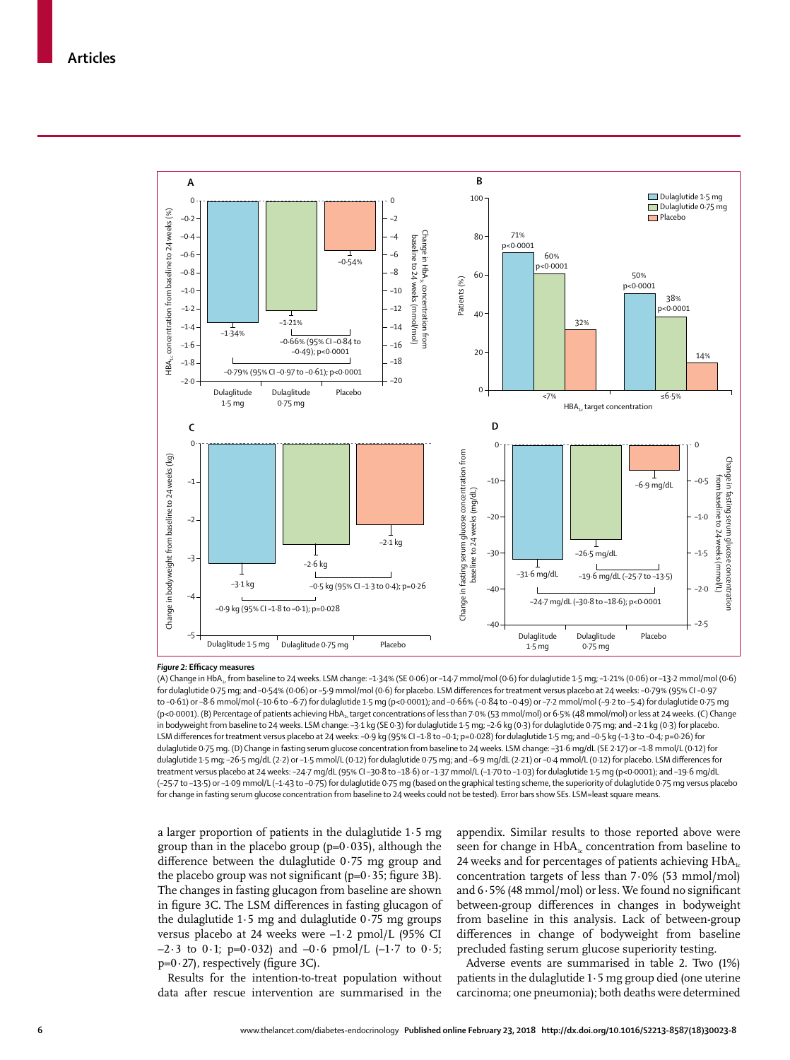

#### *Figure 2:* **Efficacy measures**

(A) Change in HbA<sub>1</sub>, from baseline to 24 weeks. LSM change: -1·34% (SE 0·06) or -14·7 mmol/mol (0·6) for dulaglutide 1·5 mg; -1·21% (0·06) or -13·2 mmol/mol (0·6) for dulaglutide 0·75 mg; and –0·54% (0·06) or –5·9 mmol/mol (0·6) for placebo. LSM differences for treatment versus placebo at 24 weeks: –0·79% (95% CI –0·97 to –0·61) or –8·6 mmol/mol (–10·6 to –6·7) for dulaglutide 1·5 mg (p<0·0001); and –0·66% (–0·84 to –0·49) or –7·2 mmol/mol (–9·2 to –5·4) for dulaglutide 0·75 mg (p<0·0001). (B) Percentage of patients achieving HbA<sub>1c</sub> target concentrations of less than 7·0% (53 mmol/mol) or 6·5% (48 mmol/mol) or less at 24 weeks. (C) Change in bodyweight from baseline to 24 weeks. LSM change: –3·1 kg (SE 0·3) for dulaglutide 1·5 mg; –2·6 kg (0·3) for dulaglutide 0·75 mg; and –2·1 kg (0·3) for placebo. LSM differences for treatment versus placebo at 24 weeks: –0·9 kg (95% CI –1·8 to –0·1; p=0·028) for dulaglutide 1·5 mg; and –0·5 kg (–1·3 to –0·4; p=0·26) for dulaglutide 0·75 mg. (D) Change in fasting serum glucose concentration from baseline to 24 weeks. LSM change: –31·6 mg/dL (SE 2·17) or –1·8 mmol/L (0·12) for dulaglutide 1·5 mg; –26·5 mg/dL (2·2) or –1·5 mmol/L (0·12) for dulaglutide 0·75 mg; and –6·9 mg/dL (2·21) or –0·4 mmol/L (0·12) for placebo. LSM differences for treatment versus placebo at 24 weeks: –24·7 mg/dL (95% CI –30·8 to –18·6) or –1·37 mmol/L (–1·70 to –1·03) for dulaglutide 1·5 mg (p<0·0001); and –19·6 mg/dL (–25·7 to –13·5) or –1·09 mmol/L (–1·43 to –0·75) for dulaglutide 0·75 mg (based on the graphical testing scheme, the superiority of dulaglutide 0·75 mg versus placebo for change in fasting serum glucose concentration from baseline to 24 weeks could not be tested). Error bars show SEs. LSM=least square means.

a larger proportion of patients in the dulaglutide 1∙5 mg group than in the placebo group (p=0∙035), although the difference between the dulaglutide 0∙75 mg group and the placebo group was not significant (p=0∙35; figure 3B). The changes in fasting glucagon from baseline are shown in figure 3C. The LSM differences in fasting glucagon of the dulaglutide 1∙5 mg and dulaglutide 0∙75 mg groups versus placebo at 24 weeks were –1∙2 pmol/L (95% CI –2∙3 to 0∙1; p=0∙032) and –0∙6 pmol/L (–1∙7 to 0∙5; p=0∙27), respectively (figure 3C).

Results for the intention-to-treat population without data after rescue intervention are summarised in the appendix. Similar results to those reported above were seen for change in  $HbA<sub>1c</sub>$  concentration from baseline to 24 weeks and for percentages of patients achieving  $HbA<sub>1c</sub>$ concentration targets of less than 7∙0% (53 mmol/mol) and 6∙5% (48 mmol/mol) or less. We found no significant between-group differences in changes in bodyweight from baseline in this analysis. Lack of between-group differences in change of bodyweight from baseline precluded fasting serum glucose superiority testing.

Adverse events are summarised in table 2. Two (1%) patients in the dulaglutide 1∙5 mg group died (one uterine carcinoma; one pneumonia); both deaths were determined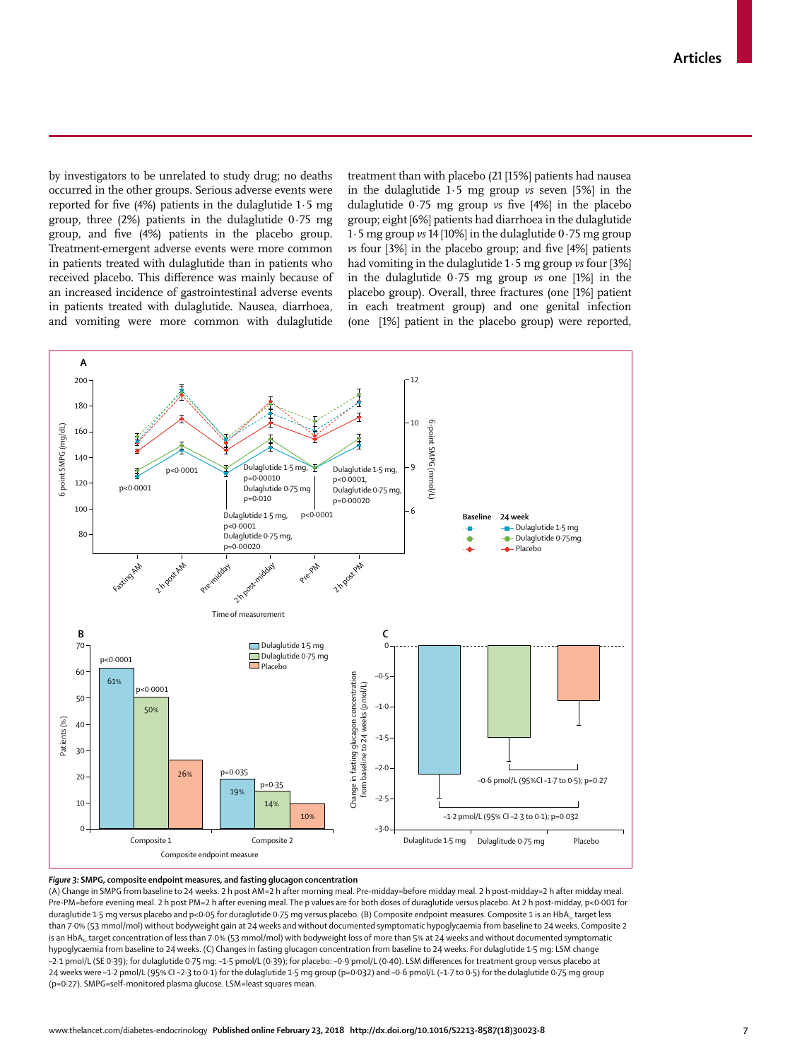by investigators to be unrelated to study drug; no deaths occurred in the other groups. Serious adverse events were reported for five (4%) patients in the dulaglutide 1∙5 mg group, three (2%) patients in the dulaglutide 0∙75 mg group, and five (4%) patients in the placebo group. Treatment-emergent adverse events were more common in patients treated with dulaglutide than in patients who received placebo. This difference was mainly because of an increased incidence of gastrointestinal adverse events in patients treated with dulaglutide. Nausea, diarrhoea, and vomiting were more common with dulaglutide treatment than with placebo (21 [15%] patients had nausea in the dulaglutide 1∙5 mg group *vs* seven [5%] in the dulaglutide 0∙75 mg group *vs* five [4%] in the placebo group; eight [6%] patients had diarrhoea in the dulaglutide 1∙5 mg group *vs* 14 [10%] in the dulaglutide 0∙75 mg group *vs* four [3%] in the placebo group; and five [4%] patients had vomiting in the dulaglutide 1∙5 mg group *vs* four [3%] in the dulaglutide 0∙75 mg group *vs* one [1%] in the placebo group). Overall, three fractures (one [1%] patient in each treatment group) and one genital infection (one [1%] patient in the placebo group) were reported,



#### *Figure 3:* **SMPG, composite endpoint measures, and fasting glucagon concentration**

(A) Change in SMPG from baseline to 24 weeks. 2 h post AM=2 h after morning meal. Pre-midday=before midday meal. 2 h post-midday=2 h after midday meal. Pre-PM=before evening meal. 2 h post PM=2 h after evening meal. The p values are for both doses of duraglutide versus placebo. At 2 h post-midday, p<0·001 for duraglutide 1-5 mg versus placebo and p<0·05 for duraglutide 0·75 mg versus placebo. (B) Composite endpoint measures. Composite 1 is an HbA<sub>1c</sub> target less than 7·0% (53 mmol/mol) without bodyweight gain at 24 weeks and without documented symptomatic hypoglycaemia from baseline to 24 weeks. Composite 2 is an HbA<sub>1c</sub> target concentration of less than 7·0% (53 mmol/mol) with bodyweight loss of more than 5% at 24 weeks and without documented symptomatic hypoglycaemia from baseline to 24 weeks. (C) Changes in fasting glucagon concentration from baseline to 24 weeks. For dulaglutide 1·5 mg: LSM change –2·1 pmol/L (SE 0·39); for dulaglutide 0·75 mg: –1·5 pmol/L (0·39); for placebo: –0·9 pmol/L (0·40). LSM differences for treatment group versus placebo at 24 weeks were –1·2 pmol/L (95% CI –2·3 to 0·1) for the dulaglutide 1·5 mg group (p=0·032) and –0·6 pmol/L (–1·7 to 0·5) for the dulaglutide 0·75 mg group (p=0·27). SMPG=self-monitored plasma glucose. LSM=least squares mean.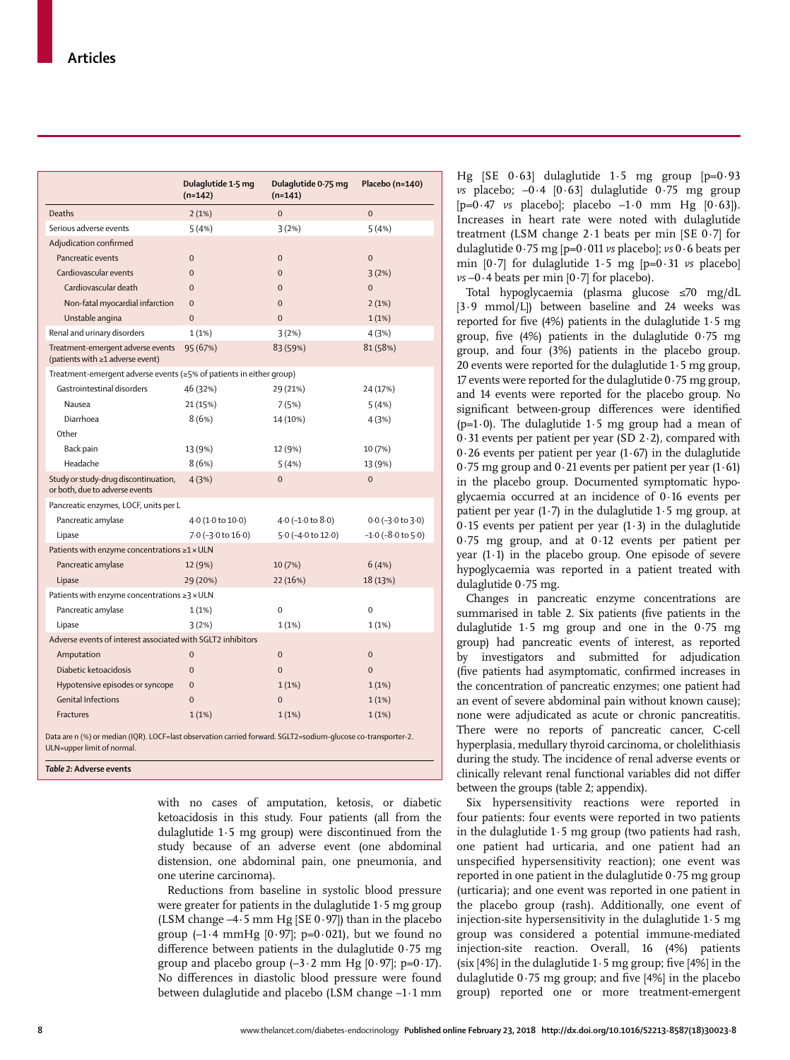|                                                                                                               | Dulaglutide 1.5 mg<br>$(n=142)$ | Dulaglutide 0.75 mg<br>$(n=141)$ | Placebo (n=140)            |  |
|---------------------------------------------------------------------------------------------------------------|---------------------------------|----------------------------------|----------------------------|--|
| Deaths                                                                                                        | 2(1%)                           | $\overline{0}$                   | $\overline{0}$             |  |
| Serious adverse events                                                                                        | 5(4%)                           | 3(2%)                            | 5(4%)                      |  |
| Adjudication confirmed                                                                                        |                                 |                                  |                            |  |
| Pancreatic events                                                                                             | $\mathbf{0}$                    | $\overline{0}$                   | $\overline{0}$             |  |
| Cardiovascular events                                                                                         | $\overline{0}$                  | $\overline{0}$                   | 3(2%)                      |  |
| Cardiovascular death                                                                                          | $\overline{0}$                  | $\overline{0}$                   | $\overline{0}$             |  |
| Non-fatal myocardial infarction                                                                               | $\Omega$                        | $\Omega$                         | 2(1%)                      |  |
| Unstable angina                                                                                               | $\Omega$                        | $\Omega$                         | 1(1%)                      |  |
| Renal and urinary disorders                                                                                   | 1(1%)                           | 3(2%)                            | 4 (3%)                     |  |
| Treatment-emergent adverse events<br>(patients with ≥1 adverse event)                                         | 95 (67%)                        | 83 (59%)                         | 81 (58%)                   |  |
| Treatment-emergent adverse events (≥5% of patients in either group)                                           |                                 |                                  |                            |  |
| Gastrointestinal disorders                                                                                    | 46 (32%)                        | 29 (21%)                         | 24 (17%)                   |  |
| Nausea                                                                                                        | 21 (15%)                        | 7(5%)                            | 5(4%)                      |  |
| Diarrhoea                                                                                                     | 8(6%)                           | 14 (10%)                         | 4 (3%)                     |  |
| Other                                                                                                         |                                 |                                  |                            |  |
| Back pain                                                                                                     | 13 (9%)                         | 12 (9%)                          | 10 (7%)                    |  |
| Headache                                                                                                      | 8(6%)                           | 5(4%)                            | 13 (9%)                    |  |
| Study or study-drug discontinuation,<br>or both, due to adverse events                                        | 4(3%)                           | $\Omega$                         | $\Omega$                   |  |
| Pancreatic enzymes, LOCF, units per L                                                                         |                                 |                                  |                            |  |
| Pancreatic amylase                                                                                            | 4.0 (1.0 to 10.0)               | 4.0 (-1.0 to 8.0)                | $0.0$ (-3.0 to 3.0)        |  |
| Lipase                                                                                                        | 7.0 (-3.0 to 16.0)              | 5.0 (-4.0 to 12.0)               | $-1.0$ ( $-8.0$ to $5.0$ ) |  |
| Patients with enzyme concentrations $\geq 1 \times ULN$                                                       |                                 |                                  |                            |  |
| Pancreatic amylase                                                                                            | 12 (9%)                         | 10 (7%)                          | 6(4%)                      |  |
| Lipase                                                                                                        | 29 (20%)                        | 22 (16%)                         | 18 (13%)                   |  |
| Patients with enzyme concentrations $\geq$ 3 × ULN                                                            |                                 |                                  |                            |  |
| Pancreatic amylase                                                                                            | 1(1%)                           | $\mathbf 0$                      | $\mathbf 0$                |  |
| Lipase                                                                                                        | 3(2%)                           | 1(1%)                            | 1(1%)                      |  |
| Adverse events of interest associated with SGLT2 inhibitors                                                   |                                 |                                  |                            |  |
| Amputation                                                                                                    | $\Omega$                        | $\overline{0}$                   | $\overline{0}$             |  |
| Diabetic ketoacidosis                                                                                         | $\Omega$                        | $\Omega$                         | $\Omega$                   |  |
| Hypotensive episodes or syncope                                                                               | $\overline{0}$                  | 1(1%)                            | 1(1%)                      |  |
| <b>Genital Infections</b>                                                                                     | $\overline{0}$                  | $\overline{0}$                   | 1(1%)                      |  |
| <b>Fractures</b>                                                                                              | 1(1%)                           | 1(1%)                            | 1(1%)                      |  |
| Data are n (%) or median (IQR). LOCF=last observation carried forward. SGLT2=sodium-glucose co-transporter-2. |                                 |                                  |                            |  |

ULN=upper limit of normal.

*Table 2:* **Adverse events**

with no cases of amputation, ketosis, or diabetic ketoacidosis in this study. Four patients (all from the dulaglutide 1∙5 mg group) were discontinued from the study because of an adverse event (one abdominal distension, one abdominal pain, one pneumonia, and one uterine carcinoma).

Reductions from baseline in systolic blood pressure were greater for patients in the dulaglutide 1∙5 mg group (LSM change –4∙5 mm Hg [SE 0∙97]) than in the placebo group (–1∙4 mmHg [0∙97]; p=0∙021), but we found no difference between patients in the dulaglutide 0∙75 mg group and placebo group  $(-3 \cdot 2 \text{ mm Hg } [0 \cdot 97]; p=0 \cdot 17)$ . No differences in diastolic blood pressure were found between dulaglutide and placebo (LSM change –1∙1 mm Hg [SE 0∙63] dulaglutide 1∙5 mg group [p=0∙93 *vs* placebo; –0∙4 [0∙63] dulaglutide 0∙75 mg group [p=0∙47 *vs* placebo]; placebo –1∙0 mm Hg [0∙63]). Increases in heart rate were noted with dulaglutide treatment (LSM change 2∙1 beats per min [SE 0∙7] for dulaglutide 0∙75 mg [p=0∙011 *vs* placebo]; *vs* 0∙6 beats per min [0∙7] for dulaglutide 1∙5 mg [p=0∙31 *vs* placebo] *vs* –0∙4 beats per min [0∙7] for placebo).

Total hypoglycaemia (plasma glucose ≤70 mg/dL [3∙9 mmol/L]) between baseline and 24 weeks was reported for five (4%) patients in the dulaglutide 1∙5 mg group, five (4%) patients in the dulaglutide 0∙75 mg group, and four (3%) patients in the placebo group. 20 events were reported for the dulaglutide 1∙5 mg group, 17 events were reported for the dulaglutide 0∙75 mg group, and 14 events were reported for the placebo group. No significant between-group differences were identified (p=1∙0). The dulaglutide 1∙5 mg group had a mean of 0∙31 events per patient per year (SD 2∙2), compared with 0∙26 events per patient per year (1∙67) in the dulaglutide 0∙75 mg group and 0∙21 events per patient per year (1∙61) in the placebo group. Documented symptomatic hypoglycaemia occurred at an incidence of 0∙16 events per patient per year (1∙7) in the dulaglutide 1∙5 mg group, at 0∙15 events per patient per year (1∙3) in the dulaglutide 0∙75 mg group, and at 0∙12 events per patient per year (1∙1) in the placebo group. One episode of severe hypoglycaemia was reported in a patient treated with dulaglutide 0∙75 mg.

Changes in pancreatic enzyme concentrations are summarised in table 2. Six patients (five patients in the dulaglutide 1∙5 mg group and one in the 0∙75 mg group) had pancreatic events of interest, as reported by investigators and submitted for adjudication (five patients had asymptomatic, confirmed increases in the concentration of pancreatic enzymes; one patient had an event of severe abdominal pain without known cause); none were adjudicated as acute or chronic pancreatitis. There were no reports of pancreatic cancer, C-cell hyperplasia, medullary thyroid carcinoma, or cholelithiasis during the study. The incidence of renal adverse events or clinically relevant renal functional variables did not differ between the groups (table 2; appendix).

Six hypersensitivity reactions were reported in four patients: four events were reported in two patients in the dulaglutide 1∙5 mg group (two patients had rash, one patient had urticaria, and one patient had an unspecified hypersensitivity reaction); one event was reported in one patient in the dulaglutide 0∙75 mg group (urticaria); and one event was reported in one patient in the placebo group (rash). Additionally, one event of injection-site hypersensitivity in the dulaglutide 1·5 mg group was considered a potential immune-mediated injection-site reaction. Overall, 16 (4%) patients (six [4%] in the dulaglutide 1∙5 mg group; five [4%] in the dulaglutide 0∙75 mg group; and five [4%] in the placebo group) reported one or more treatment-emergent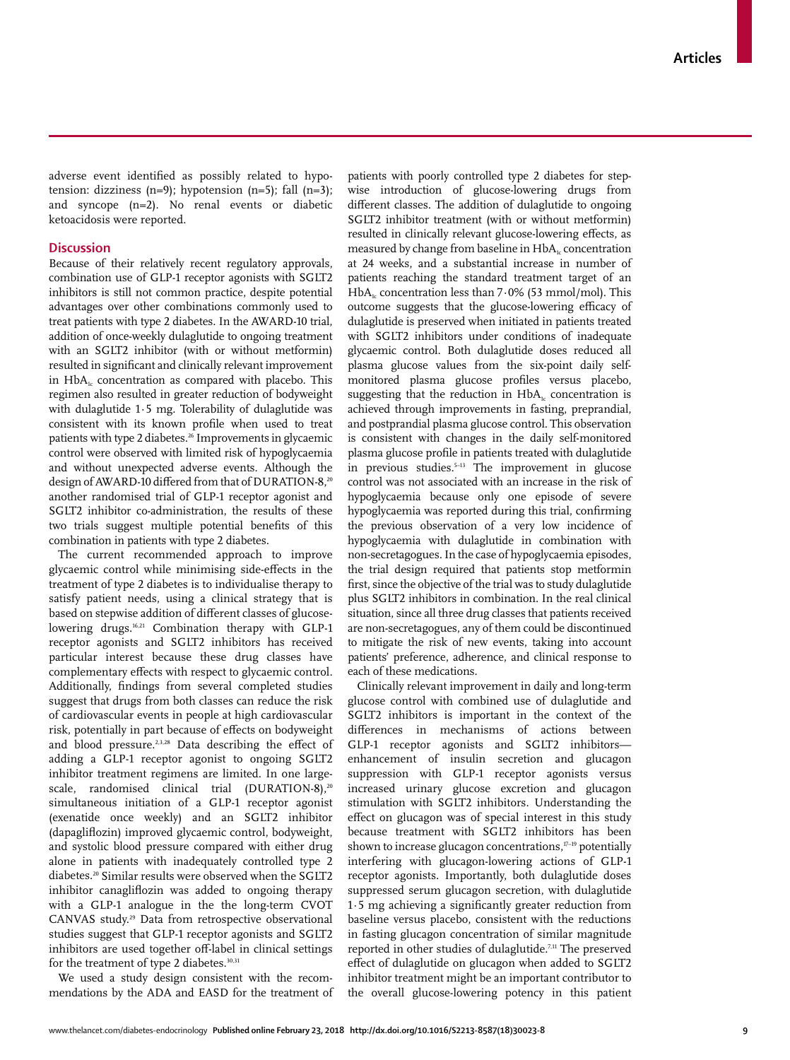adverse event identified as possibly related to hypotension: dizziness  $(n=9)$ ; hypotension  $(n=5)$ ; fall  $(n=3)$ ; and syncope (n=2). No renal events or diabetic ketoacidosis were reported.

## **Discussion**

Because of their relatively recent regulatory approvals, combination use of GLP-1 receptor agonists with SGLT2 inhibitors is still not common practice, despite potential advantages over other combinations commonly used to treat patients with type 2 diabetes. In the AWARD-10 trial, addition of once-weekly dulaglutide to ongoing treatment with an SGLT2 inhibitor (with or without metformin) resulted in significant and clinically relevant improvement in  $HbA<sub>1c</sub>$  concentration as compared with placebo. This regimen also resulted in greater reduction of bodyweight with dulaglutide 1∙5 mg. Tolerability of dulaglutide was consistent with its known profile when used to treat patients with type 2 diabetes.<sup>26</sup> Improvements in glycaemic control were observed with limited risk of hypoglycaemia and without unexpected adverse events. Although the design of AWARD-10 differed from that of DURATION-8,<sup>20</sup> another randomised trial of GLP-1 receptor agonist and SGLT2 inhibitor co-administration, the results of these two trials suggest multiple potential benefits of this combination in patients with type 2 diabetes.

The current recommended approach to improve glycaemic control while minimising side-effects in the treatment of type 2 diabetes is to individualise therapy to satisfy patient needs, using a clinical strategy that is based on stepwise addition of different classes of glucoselowering drugs.<sup>16,21</sup> Combination therapy with GLP-1 receptor agonists and SGLT2 inhibitors has received particular interest because these drug classes have complementary effects with respect to glycaemic control. Additionally, findings from several completed studies suggest that drugs from both classes can reduce the risk of cardiovascular events in people at high cardiovascular risk, potentially in part because of effects on bodyweight and blood pressure.<sup>2,3,28</sup> Data describing the effect of adding a GLP-1 receptor agonist to ongoing SGLT2 inhibitor treatment regimens are limited. In one largescale, randomised clinical trial (DURATION-8).<sup>20</sup> simultaneous initiation of a GLP-1 receptor agonist (exenatide once weekly) and an SGLT2 inhibitor (dapagliflozin) improved glycaemic control, bodyweight, and systolic blood pressure compared with either drug alone in patients with inadequately controlled type 2 diabetes.20 Similar results were observed when the SGLT2 inhibitor canagliflozin was added to ongoing therapy with a GLP-1 analogue in the the long-term CVOT CANVAS study.29 Data from retrospective observational studies suggest that GLP-1 receptor agonists and SGLT2 inhibitors are used together off-label in clinical settings for the treatment of type 2 diabetes.<sup>30,31</sup>

We used a study design consistent with the recommendations by the ADA and EASD for the treatment of patients with poorly controlled type 2 diabetes for stepwise introduction of glucose-lowering drugs from different classes. The addition of dulaglutide to ongoing SGLT2 inhibitor treatment (with or without metformin) resulted in clinically relevant glucose-lowering effects, as measured by change from baseline in HbA<sub>1c</sub> concentration at 24 weeks, and a substantial increase in number of patients reaching the standard treatment target of an HbA<sub>1c</sub> concentration less than 7∙0% (53 mmol/mol). This outcome suggests that the glucose-lowering efficacy of dulaglutide is preserved when initiated in patients treated with SGLT2 inhibitors under conditions of inadequate glycaemic control. Both dulaglutide doses reduced all plasma glucose values from the six-point daily selfmonitored plasma glucose profiles versus placebo, suggesting that the reduction in  $HbA<sub>i</sub>$  concentration is achieved through improvements in fasting, preprandial, and postprandial plasma glucose control. This observation is consistent with changes in the daily self-monitored plasma glucose profile in patients treated with dulaglutide in previous studies.<sup>5-13</sup> The improvement in glucose control was not associated with an increase in the risk of hypoglycaemia because only one episode of severe hypoglycaemia was reported during this trial, confirming the previous observation of a very low incidence of hypoglycaemia with dulaglutide in combination with non-secretagogues. In the case of hypoglycaemia episodes, the trial design required that patients stop metformin first, since the objective of the trial was to study dulaglutide plus SGLT2 inhibitors in combination. In the real clinical situation, since all three drug classes that patients received are non-secretagogues, any of them could be discontinued to mitigate the risk of new events, taking into account patients' preference, adherence, and clinical response to each of these medications.

Clinically relevant improvement in daily and long-term glucose control with combined use of dulaglutide and SGLT2 inhibitors is important in the context of the differences in mechanisms of actions between GLP-1 receptor agonists and SGLT2 inhibitors enhancement of insulin secretion and glucagon suppression with GLP-1 receptor agonists versus increased urinary glucose excretion and glucagon stimulation with SGLT2 inhibitors. Understanding the effect on glucagon was of special interest in this study because treatment with SGLT2 inhibitors has been shown to increase glucagon concentrations,<sup>17-19</sup> potentially interfering with glucagon-lowering actions of GLP-1 receptor agonists. Importantly, both dulaglutide doses suppressed serum glucagon secretion, with dulaglutide 1∙5 mg achieving a significantly greater reduction from baseline versus placebo, consistent with the reductions in fasting glucagon concentration of similar magnitude reported in other studies of dulaglutide.<sup>7,11</sup> The preserved effect of dulaglutide on glucagon when added to SGLT2 inhibitor treatment might be an important contributor to the overall glucose-lowering potency in this patient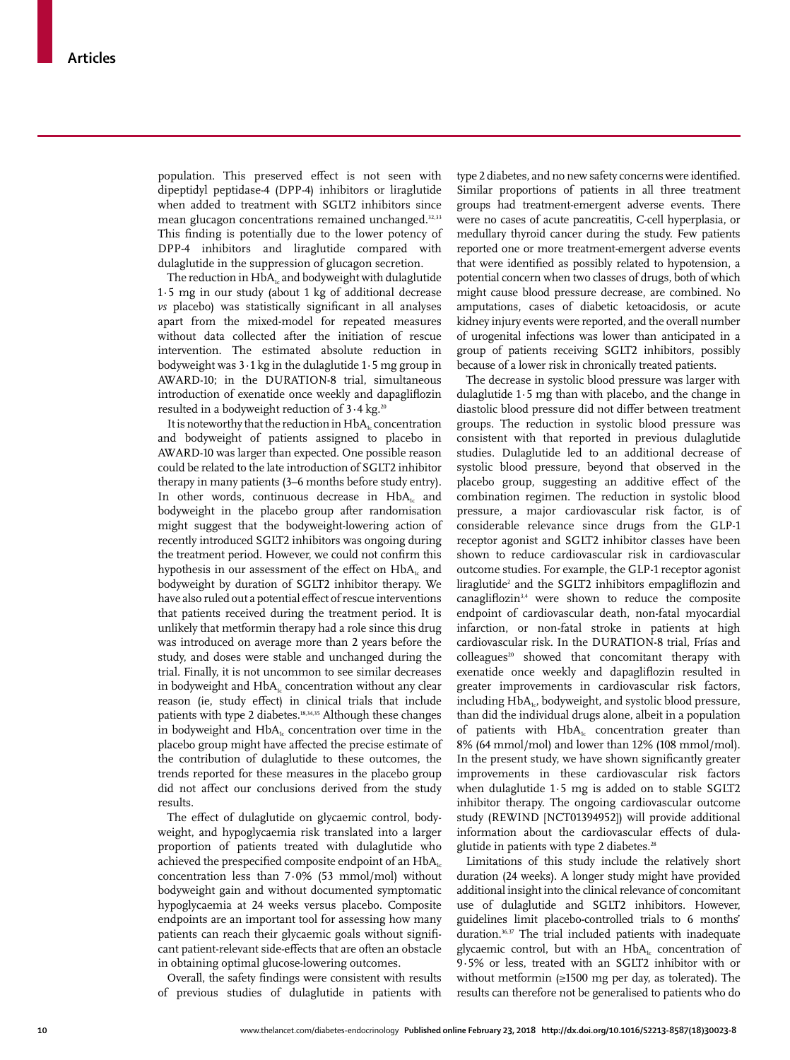population. This preserved effect is not seen with dipeptidyl peptidase-4 (DPP-4) inhibitors or liraglutide when added to treatment with SGLT2 inhibitors since mean glucagon concentrations remained unchanged.<sup>32,33</sup> This finding is potentially due to the lower potency of DPP-4 inhibitors and liraglutide compared with dulaglutide in the suppression of glucagon secretion.

The reduction in  $HbA_{1c}$  and bodyweight with dulaglutide 1∙5 mg in our study (about 1 kg of additional decrease *vs* placebo) was statistically significant in all analyses apart from the mixed-model for repeated measures without data collected after the initiation of rescue intervention. The estimated absolute reduction in bodyweight was 3∙1 kg in the dulaglutide 1∙5 mg group in AWARD-10; in the DURATION-8 trial, simultaneous introduction of exenatide once weekly and dapagliflozin resulted in a bodyweight reduction of 3⋅4 kg.<sup>20</sup>

It is noteworthy that the reduction in  $HbA<sub>i</sub>$  concentration and bodyweight of patients assigned to placebo in AWARD-10 was larger than expected. One possible reason could be related to the late introduction of SGLT2 inhibitor therapy in many patients (3–6 months before study entry). In other words, continuous decrease in  $HbA<sub>i</sub>$  and bodyweight in the placebo group after randomisation might suggest that the bodyweight-lowering action of recently introduced SGLT2 inhibitors was ongoing during the treatment period. However, we could not confirm this hypothesis in our assessment of the effect on  $HbA<sub>i</sub>$  and bodyweight by duration of SGLT2 inhibitor therapy. We have also ruled out a potential effect of rescue interventions that patients received during the treatment period. It is unlikely that metformin therapy had a role since this drug was introduced on average more than 2 years before the study, and doses were stable and unchanged during the trial. Finally, it is not uncommon to see similar decreases in bodyweight and  $HbA<sub>i</sub>$  concentration without any clear reason (ie, study effect) in clinical trials that include patients with type 2 diabetes.<sup>18,34,35</sup> Although these changes in bodyweight and  $HbA<sub>1c</sub>$  concentration over time in the placebo group might have affected the precise estimate of the contribution of dulaglutide to these outcomes, the trends reported for these measures in the placebo group did not affect our conclusions derived from the study results.

The effect of dulaglutide on glycaemic control, bodyweight, and hypoglycaemia risk translated into a larger proportion of patients treated with dulaglutide who achieved the prespecified composite endpoint of an  $HbA_{1c}$ concentration less than 7∙0% (53 mmol/mol) without bodyweight gain and without documented symptomatic hypoglycaemia at 24 weeks versus placebo. Composite endpoints are an important tool for assessing how many patients can reach their glycaemic goals without significant patient-relevant side-effects that are often an obstacle in obtaining optimal glucose-lowering outcomes.

Overall, the safety findings were consistent with results of previous studies of dulaglutide in patients with

type 2 diabetes, and no new safety concerns were identified. Similar proportions of patients in all three treatment groups had treatment-emergent adverse events. There were no cases of acute pancreatitis, C-cell hyperplasia, or medullary thyroid cancer during the study. Few patients reported one or more treatment-emergent adverse events that were identified as possibly related to hypotension, a potential concern when two classes of drugs, both of which might cause blood pressure decrease, are combined. No amputations, cases of diabetic ketoacidosis, or acute kidney injury events were reported, and the overall number of urogenital infections was lower than anticipated in a group of patients receiving SGLT2 inhibitors, possibly because of a lower risk in chronically treated patients.

The decrease in systolic blood pressure was larger with dulaglutide 1∙5 mg than with placebo, and the change in diastolic blood pressure did not differ between treatment groups. The reduction in systolic blood pressure was consistent with that reported in previous dulaglutide studies. Dulaglutide led to an additional decrease of systolic blood pressure, beyond that observed in the placebo group, suggesting an additive effect of the combination regimen. The reduction in systolic blood pressure, a major cardiovascular risk factor, is of considerable relevance since drugs from the GLP-1 receptor agonist and SGLT2 inhibitor classes have been shown to reduce cardiovascular risk in cardiovascular outcome studies. For example, the GLP-1 receptor agonist liraglutide<sup>2</sup> and the SGLT2 inhibitors empagliflozin and canagliflozin3,4 were shown to reduce the composite endpoint of cardiovascular death, non-fatal myocardial infarction, or non-fatal stroke in patients at high cardiovascular risk. In the DURATION-8 trial, Frías and colleagues<sup>20</sup> showed that concomitant therapy with exenatide once weekly and dapagliflozin resulted in greater improvements in cardiovascular risk factors, including HbA<sub>1c</sub>, bodyweight, and systolic blood pressure, than did the individual drugs alone, albeit in a population of patients with  $HbA<sub>i</sub>$  concentration greater than 8% (64 mmol/mol) and lower than 12% (108 mmol/mol). In the present study, we have shown significantly greater improvements in these cardiovascular risk factors when dulaglutide 1·5 mg is added on to stable SGLT2 inhibitor therapy. The ongoing cardiovascular outcome study (REWIND [NCT01394952]) will provide additional information about the cardiovascular effects of dulaglutide in patients with type 2 diabetes.<sup>28</sup>

Limitations of this study include the relatively short duration (24 weeks). A longer study might have provided additional insight into the clinical relevance of concomitant use of dulaglutide and SGLT2 inhibitors. However, guidelines limit placebo-controlled trials to 6 months' duration.<sup>36,37</sup> The trial included patients with inadequate glycaemic control, but with an  $HbA_1$ <sub>c</sub> concentration of 9∙5% or less, treated with an SGLT2 inhibitor with or without metformin (≥1500 mg per day, as tolerated). The results can therefore not be generalised to patients who do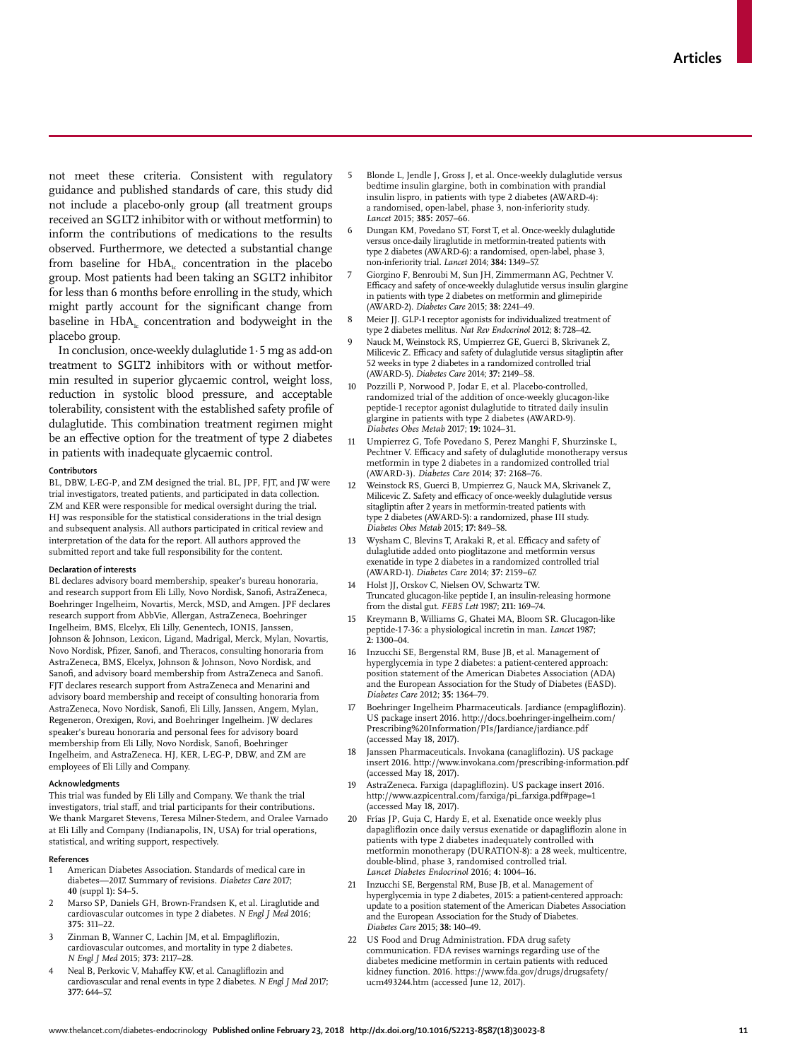not meet these criteria. Consistent with regulatory guidance and published standards of care, this study did not include a placebo-only group (all treatment groups received an SGLT2 inhibitor with or without metformin) to inform the contributions of medications to the results observed. Furthermore, we detected a substantial change from baseline for  $HbA<sub>i</sub>$  concentration in the placebo group. Most patients had been taking an SGLT2 inhibitor for less than 6 months before enrolling in the study, which might partly account for the significant change from baseline in  $HbA_i$  concentration and bodyweight in the placebo group.

In conclusion, once-weekly dulaglutide 1·5 mg as add-on treatment to SGLT2 inhibitors with or without metformin resulted in superior glycaemic control, weight loss, reduction in systolic blood pressure, and acceptable tolerability, consistent with the established safety profile of dulaglutide. This combination treatment regimen might be an effective option for the treatment of type 2 diabetes in patients with inadequate glycaemic control.

#### **Contributors**

BL, DBW, L-EG-P, and ZM designed the trial. BL, JPF, FJT, and JW were trial investigators, treated patients, and participated in data collection. ZM and KER were responsible for medical oversight during the trial. HJ was responsible for the statistical considerations in the trial design and subsequent analysis. All authors participated in critical review and interpretation of the data for the report. All authors approved the submitted report and take full responsibility for the content.

## **Declaration of interests**

BL declares advisory board membership, speaker's bureau honoraria, and research support from Eli Lilly, Novo Nordisk, Sanofi, AstraZeneca, Boehringer Ingelheim, Novartis, Merck, MSD, and Amgen. JPF declares research support from AbbVie, Allergan, AstraZeneca, Boehringer Ingelheim, BMS, Elcelyx, Eli Lilly, Genentech, IONIS, Janssen, Johnson & Johnson, Lexicon, Ligand, Madrigal, Merck, Mylan, Novartis, Novo Nordisk, Pfizer, Sanofi, and Theracos, consulting honoraria from AstraZeneca, BMS, Elcelyx, Johnson & Johnson, Novo Nordisk, and Sanofi, and advisory board membership from AstraZeneca and Sanofi. FJT declares research support from AstraZeneca and Menarini and advisory board membership and receipt of consulting honoraria from AstraZeneca, Novo Nordisk, Sanofi, Eli Lilly, Janssen, Angem, Mylan, Regeneron, Orexigen, Rovi, and Boehringer Ingelheim. JW declares speaker's bureau honoraria and personal fees for advisory board membership from Eli Lilly, Novo Nordisk, Sanofi, Boehringer Ingelheim, and AstraZeneca. HJ, KER, L-EG-P, DBW, and ZM are employees of Eli Lilly and Company.

#### **Acknowledgments**

This trial was funded by Eli Lilly and Company. We thank the trial investigators, trial staff, and trial participants for their contributions. We thank Margaret Stevens, Teresa Milner-Stedem, and Oralee Varnado at Eli Lilly and Company (Indianapolis, IN, USA) for trial operations, statistical, and writing support, respectively.

#### **References**

- 1 American Diabetes Association. Standards of medical care in diabetes—2017. Summary of revisions. *Diabetes Care* 2017; **40** (suppl 1)**:** S4–5.
- 2 Marso SP, Daniels GH, Brown-Frandsen K, et al. Liraglutide and cardiovascular outcomes in type 2 diabetes. *N Engl J Med* 2016; **375:** 311–22.
- Zinman B, Wanner C, Lachin JM, et al. Empagliflozin, cardiovascular outcomes, and mortality in type 2 diabetes. *N Engl J Med* 2015; **373:** 2117–28.
- Neal B, Perkovic V, Mahaffey KW, et al. Canagliflozin and cardiovascular and renal events in type 2 diabetes. *N Engl J Med* 2017; **377:** 644–57.
- 5 Blonde L, Jendle J, Gross J, et al. Once-weekly dulaglutide versus bedtime insulin glargine, both in combination with prandial insulin lispro, in patients with type 2 diabetes (AWARD-4): a randomised, open-label, phase 3, non-inferiority study. *Lancet* 2015; **385:** 2057–66.
- 6 Dungan KM, Povedano ST, Forst T, et al. Once-weekly dulaglutide versus once-daily liraglutide in metformin-treated patients with type 2 diabetes (AWARD-6): a randomised, open-label, phase 3, non-inferiority trial. *Lancet* 2014; **384:** 1349–57.
- 7 Giorgino F, Benroubi M, Sun JH, Zimmermann AG, Pechtner V. Efficacy and safety of once-weekly dulaglutide versus insulin glargine in patients with type 2 diabetes on metformin and glimepiride (AWARD-2). *Diabetes Care* 2015; **38:** 2241–49.
- 8 Meier JJ. GLP-1 receptor agonists for individualized treatment of type 2 diabetes mellitus. *Nat Rev Endocrinol* 2012; **8:** 728–42.
- 9 Nauck M, Weinstock RS, Umpierrez GE, Guerci B, Skrivanek Z, Milicevic Z. Efficacy and safety of dulaglutide versus sitagliptin after 52 weeks in type 2 diabetes in a randomized controlled trial (AWARD-5). *Diabetes Care* 2014; **37:** 2149–58.
- 10 Pozzilli P, Norwood P, Jodar E, et al. Placebo-controlled, randomized trial of the addition of once-weekly glucagon-like peptide-1 receptor agonist dulaglutide to titrated daily insulin glargine in patients with type 2 diabetes (AWARD-9). *Diabetes Obes Metab* 2017; **19:** 1024–31.
- 11 Umpierrez G, Tofe Povedano S, Perez Manghi F, Shurzinske L, Pechtner V. Efficacy and safety of dulaglutide monotherapy versus metformin in type 2 diabetes in a randomized controlled trial (AWARD-3). *Diabetes Care* 2014; **37:** 2168–76.
- 12 Weinstock RS, Guerci B, Umpierrez G, Nauck MA, Skrivanek Z, Milicevic Z. Safety and efficacy of once-weekly dulaglutide versus sitagliptin after 2 years in metformin-treated patients with type 2 diabetes (AWARD-5): a randomized, phase III study. *Diabetes Obes Metab* 2015; **17:** 849–58.
- 13 Wysham C, Blevins T, Arakaki R, et al. Efficacy and safety of dulaglutide added onto pioglitazone and metformin versus exenatide in type 2 diabetes in a randomized controlled trial (AWARD-1). *Diabetes Care* 2014; **37:** 2159–67.
- 14 Holst JJ, Orskov C, Nielsen OV, Schwartz TW. Truncated glucagon-like peptide I, an insulin-releasing hormone from the distal gut. *FEBS Lett* 1987; **211:** 169–74.
- Kreymann B, Williams G, Ghatei MA, Bloom SR. Glucagon-like peptide-1 7-36: a physiological incretin in man. *Lancet* 1987;  $2:1300 - 04$
- 16 Inzucchi SE, Bergenstal RM, Buse JB, et al. Management of hyperglycemia in type 2 diabetes: a patient-centered approach: position statement of the American Diabetes Association (ADA) and the European Association for the Study of Diabetes (EASD). *Diabetes Care* 2012; **35:** 1364–79.
- 17 Boehringer Ingelheim Pharmaceuticals. Jardiance (empagliflozin). US package insert 2016. http://docs.boehringer-ingelheim.com/ Prescribing%20Information/PIs/Jardiance/jardiance.pdf (accessed May 18, 2017).
- 18 Janssen Pharmaceuticals. Invokana (canagliflozin). US package insert 2016. http://www.invokana.com/prescribing-information.pdf (accessed May 18, 2017).
- 19 AstraZeneca. Farxiga (dapagliflozin). US package insert 2016. http://www.azpicentral.com/farxiga/pi\_farxiga.pdf#page=1 (accessed May 18, 2017).
- 20 Frías JP, Guja C, Hardy E, et al. Exenatide once weekly plus dapagliflozin once daily versus exenatide or dapagliflozin alone in patients with type 2 diabetes inadequately controlled with metformin monotherapy (DURATION-8): a 28 week, multicentre, double-blind, phase 3, randomised controlled trial. *Lancet Diabetes Endocrinol* 2016; **4:** 1004–16.
- 21 Inzucchi SE, Bergenstal RM, Buse JB, et al. Management of hyperglycemia in type 2 diabetes, 2015: a patient-centered approach: update to a position statement of the American Diabetes Association and the European Association for the Study of Diabetes. *Diabetes Care* 2015; **38:** 140–49.
- 22 US Food and Drug Administration. FDA drug safety communication. FDA revises warnings regarding use of the diabetes medicine metformin in certain patients with reduced kidney function. 2016. https://www.fda.gov/drugs/drugsafety/ ucm493244.htm (accessed June 12, 2017).